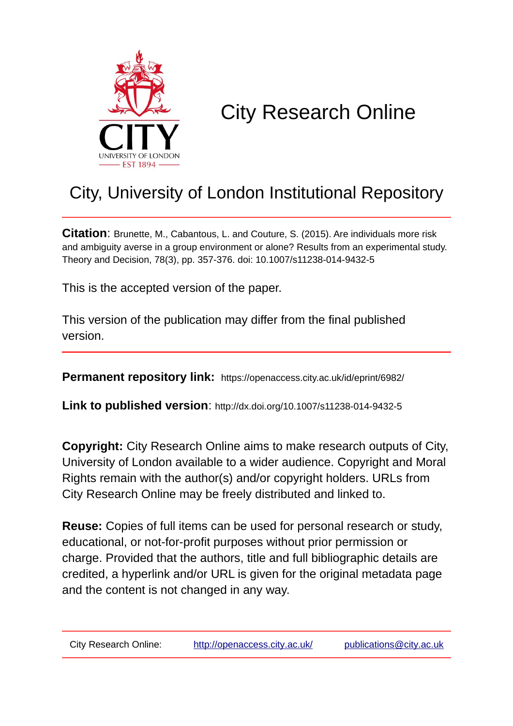

# City Research Online

## City, University of London Institutional Repository

**Citation**: Brunette, M., Cabantous, L. and Couture, S. (2015). Are individuals more risk and ambiguity averse in a group environment or alone? Results from an experimental study. Theory and Decision, 78(3), pp. 357-376. doi: 10.1007/s11238-014-9432-5

This is the accepted version of the paper.

This version of the publication may differ from the final published version.

**Permanent repository link:** https://openaccess.city.ac.uk/id/eprint/6982/

**Link to published version**: http://dx.doi.org/10.1007/s11238-014-9432-5

**Copyright:** City Research Online aims to make research outputs of City, University of London available to a wider audience. Copyright and Moral Rights remain with the author(s) and/or copyright holders. URLs from City Research Online may be freely distributed and linked to.

**Reuse:** Copies of full items can be used for personal research or study, educational, or not-for-profit purposes without prior permission or charge. Provided that the authors, title and full bibliographic details are credited, a hyperlink and/or URL is given for the original metadata page and the content is not changed in any way.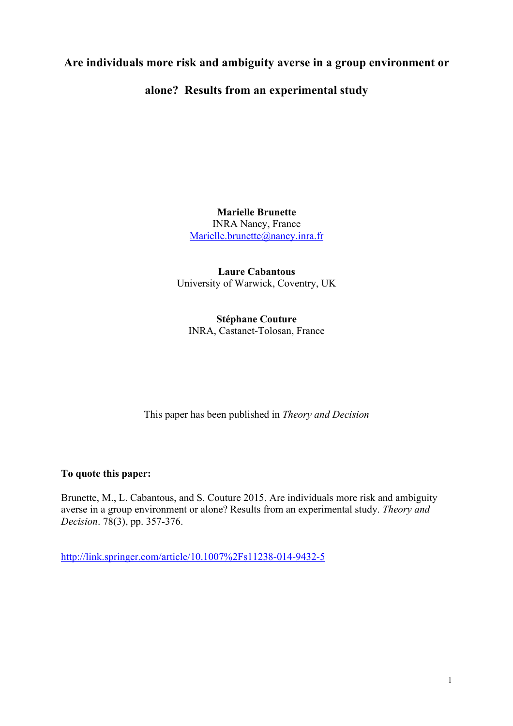## **Are individuals more risk and ambiguity averse in a group environment or**

**alone? Results from an experimental study**

**Marielle Brunette** INRA Nancy, France Marielle.brunette@nancy.inra.fr

**Laure Cabantous** University of Warwick, Coventry, UK

**Stéphane Couture** INRA, Castanet-Tolosan, France

This paper has been published in *Theory and Decision*

#### **To quote this paper:**

Brunette, M., L. Cabantous, and S. Couture 2015. Are individuals more risk and ambiguity averse in a group environment or alone? Results from an experimental study. *Theory and Decision*. 78(3), pp. 357-376.

http://link.springer.com/article/10.1007%2Fs11238-014-9432-5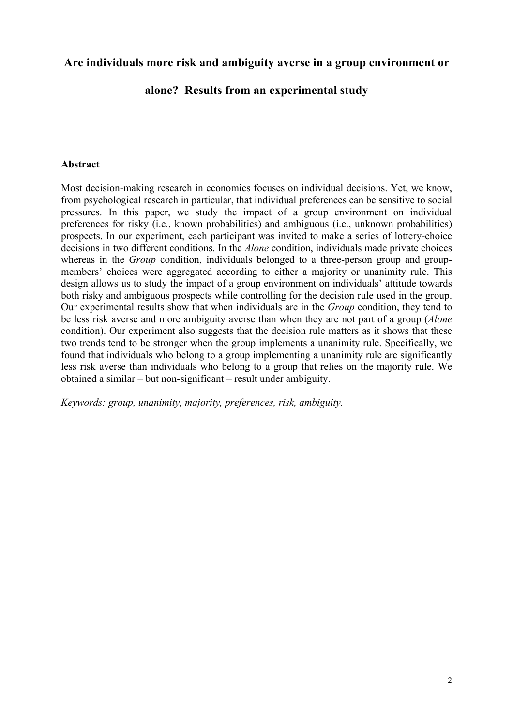#### **Are individuals more risk and ambiguity averse in a group environment or**

**alone? Results from an experimental study**

#### **Abstract**

Most decision-making research in economics focuses on individual decisions. Yet, we know, from psychological research in particular, that individual preferences can be sensitive to social pressures. In this paper, we study the impact of a group environment on individual preferences for risky (i.e., known probabilities) and ambiguous (i.e., unknown probabilities) prospects. In our experiment, each participant was invited to make a series of lottery-choice decisions in two different conditions. In the *Alone* condition, individuals made private choices whereas in the *Group* condition, individuals belonged to a three-person group and groupmembers' choices were aggregated according to either a majority or unanimity rule. This design allows us to study the impact of a group environment on individuals' attitude towards both risky and ambiguous prospects while controlling for the decision rule used in the group. Our experimental results show that when individuals are in the *Group* condition, they tend to be less risk averse and more ambiguity averse than when they are not part of a group (*Alone* condition). Our experiment also suggests that the decision rule matters as it shows that these two trends tend to be stronger when the group implements a unanimity rule. Specifically, we found that individuals who belong to a group implementing a unanimity rule are significantly less risk averse than individuals who belong to a group that relies on the majority rule. We obtained a similar – but non-significant – result under ambiguity.

*Keywords: group, unanimity, majority, preferences, risk, ambiguity.*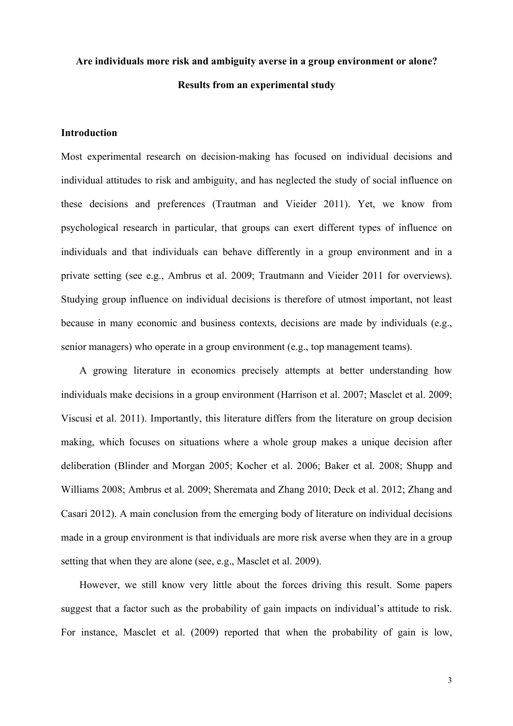#### **Are individuals more risk and ambiguity averse in a group environment or alone?**

#### **Results from an experimental study**

#### **Introduction**

Most experimental research on decision-making has focused on individual decisions and individual attitudes to risk and ambiguity, and has neglected the study of social influence on these decisions and preferences (Trautman and Vieider 2011). Yet, we know from psychological research in particular, that groups can exert different types of influence on individuals and that individuals can behave differently in a group environment and in a private setting (see e.g., Ambrus et al. 2009; Trautmann and Vieider 2011 for overviews). Studying group influence on individual decisions is therefore of utmost important, not least because in many economic and business contexts, decisions are made by individuals (e.g., senior managers) who operate in a group environment (e.g., top management teams).

A growing literature in economics precisely attempts at better understanding how individuals make decisions in a group environment (Harrison et al. 2007; Masclet et al. 2009; Viscusi et al. 2011). Importantly, this literature differs from the literature on group decision making, which focuses on situations where a whole group makes a unique decision after deliberation (Blinder and Morgan 2005; Kocher et al. 2006; Baker et al. 2008; Shupp and Williams 2008; Ambrus et al. 2009; Sheremata and Zhang 2010; Deck et al. 2012; Zhang and Casari 2012). A main conclusion from the emerging body of literature on individual decisions made in a group environment is that individuals are more risk averse when they are in a group setting that when they are alone (see, e.g., Masclet et al. 2009).

However, we still know very little about the forces driving this result. Some papers suggest that a factor such as the probability of gain impacts on individual's attitude to risk. For instance, Masclet et al. (2009) reported that when the probability of gain is low,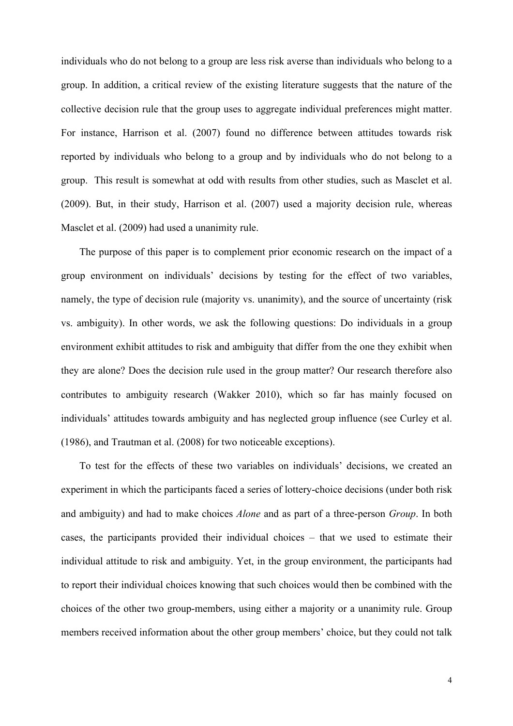individuals who do not belong to a group are less risk averse than individuals who belong to a group. In addition, a critical review of the existing literature suggests that the nature of the collective decision rule that the group uses to aggregate individual preferences might matter. For instance, Harrison et al. (2007) found no difference between attitudes towards risk reported by individuals who belong to a group and by individuals who do not belong to a group. This result is somewhat at odd with results from other studies, such as Masclet et al. (2009). But, in their study, Harrison et al. (2007) used a majority decision rule, whereas Masclet et al. (2009) had used a unanimity rule.

The purpose of this paper is to complement prior economic research on the impact of a group environment on individuals' decisions by testing for the effect of two variables, namely, the type of decision rule (majority vs. unanimity), and the source of uncertainty (risk vs. ambiguity). In other words, we ask the following questions: Do individuals in a group environment exhibit attitudes to risk and ambiguity that differ from the one they exhibit when they are alone? Does the decision rule used in the group matter? Our research therefore also contributes to ambiguity research (Wakker 2010), which so far has mainly focused on individuals' attitudes towards ambiguity and has neglected group influence (see Curley et al. (1986), and Trautman et al. (2008) for two noticeable exceptions).

To test for the effects of these two variables on individuals' decisions, we created an experiment in which the participants faced a series of lottery-choice decisions (under both risk and ambiguity) and had to make choices *Alone* and as part of a three-person *Group*. In both cases, the participants provided their individual choices – that we used to estimate their individual attitude to risk and ambiguity. Yet, in the group environment, the participants had to report their individual choices knowing that such choices would then be combined with the choices of the other two group-members, using either a majority or a unanimity rule. Group members received information about the other group members' choice, but they could not talk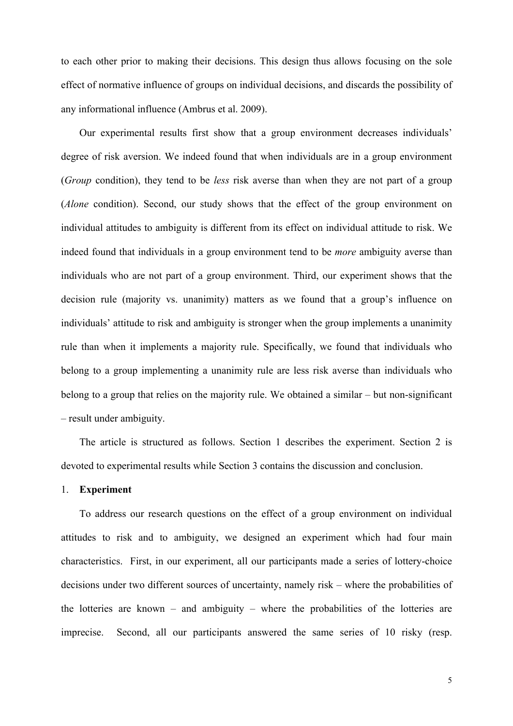to each other prior to making their decisions. This design thus allows focusing on the sole effect of normative influence of groups on individual decisions, and discards the possibility of any informational influence (Ambrus et al. 2009).

Our experimental results first show that a group environment decreases individuals' degree of risk aversion. We indeed found that when individuals are in a group environment (*Group* condition), they tend to be *less* risk averse than when they are not part of a group (*Alone* condition). Second, our study shows that the effect of the group environment on individual attitudes to ambiguity is different from its effect on individual attitude to risk. We indeed found that individuals in a group environment tend to be *more* ambiguity averse than individuals who are not part of a group environment. Third, our experiment shows that the decision rule (majority vs. unanimity) matters as we found that a group's influence on individuals' attitude to risk and ambiguity is stronger when the group implements a unanimity rule than when it implements a majority rule. Specifically, we found that individuals who belong to a group implementing a unanimity rule are less risk averse than individuals who belong to a group that relies on the majority rule. We obtained a similar – but non-significant – result under ambiguity.

The article is structured as follows. Section 1 describes the experiment. Section 2 is devoted to experimental results while Section 3 contains the discussion and conclusion.

#### 1. **Experiment**

To address our research questions on the effect of a group environment on individual attitudes to risk and to ambiguity, we designed an experiment which had four main characteristics. First, in our experiment, all our participants made a series of lottery-choice decisions under two different sources of uncertainty, namely risk – where the probabilities of the lotteries are known – and ambiguity – where the probabilities of the lotteries are imprecise. Second, all our participants answered the same series of 10 risky (resp.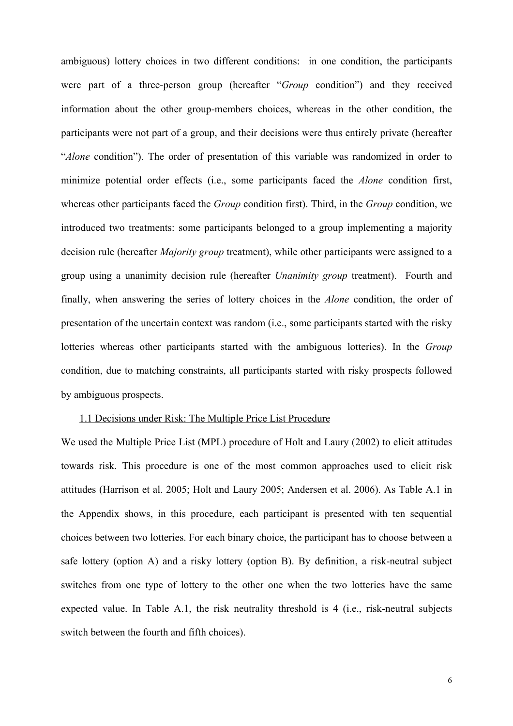ambiguous) lottery choices in two different conditions: in one condition, the participants were part of a three-person group (hereafter "*Group* condition") and they received information about the other group-members choices, whereas in the other condition, the participants were not part of a group, and their decisions were thus entirely private (hereafter "*Alone* condition"). The order of presentation of this variable was randomized in order to minimize potential order effects (i.e., some participants faced the *Alone* condition first, whereas other participants faced the *Group* condition first). Third, in the *Group* condition, we introduced two treatments: some participants belonged to a group implementing a majority decision rule (hereafter *Majority group* treatment), while other participants were assigned to a group using a unanimity decision rule (hereafter *Unanimity group* treatment). Fourth and finally, when answering the series of lottery choices in the *Alone* condition, the order of presentation of the uncertain context was random (i.e., some participants started with the risky lotteries whereas other participants started with the ambiguous lotteries). In the *Group* condition, due to matching constraints, all participants started with risky prospects followed by ambiguous prospects.

#### 1.1 Decisions under Risk: The Multiple Price List Procedure

We used the Multiple Price List (MPL) procedure of Holt and Laury (2002) to elicit attitudes towards risk. This procedure is one of the most common approaches used to elicit risk attitudes (Harrison et al. 2005; Holt and Laury 2005; Andersen et al. 2006). As Table A.1 in the Appendix shows, in this procedure, each participant is presented with ten sequential choices between two lotteries. For each binary choice, the participant has to choose between a safe lottery (option A) and a risky lottery (option B). By definition, a risk-neutral subject switches from one type of lottery to the other one when the two lotteries have the same expected value. In Table A.1, the risk neutrality threshold is 4 (i.e., risk-neutral subjects switch between the fourth and fifth choices).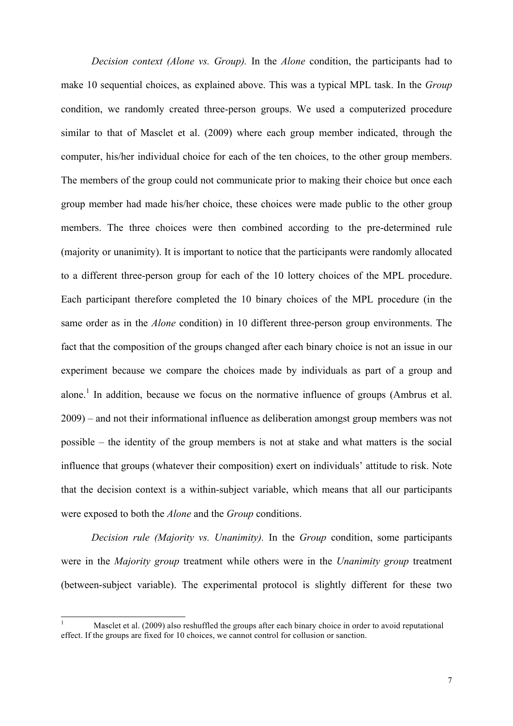*Decision context (Alone vs. Group).* In the *Alone* condition, the participants had to make 10 sequential choices, as explained above. This was a typical MPL task. In the *Group*  condition, we randomly created three-person groups. We used a computerized procedure similar to that of Masclet et al. (2009) where each group member indicated, through the computer, his/her individual choice for each of the ten choices, to the other group members. The members of the group could not communicate prior to making their choice but once each group member had made his/her choice, these choices were made public to the other group members. The three choices were then combined according to the pre-determined rule (majority or unanimity). It is important to notice that the participants were randomly allocated to a different three-person group for each of the 10 lottery choices of the MPL procedure. Each participant therefore completed the 10 binary choices of the MPL procedure (in the same order as in the *Alone* condition) in 10 different three-person group environments. The fact that the composition of the groups changed after each binary choice is not an issue in our experiment because we compare the choices made by individuals as part of a group and alone.<sup>1</sup> In addition, because we focus on the normative influence of groups (Ambrus et al. 2009) – and not their informational influence as deliberation amongst group members was not possible – the identity of the group members is not at stake and what matters is the social influence that groups (whatever their composition) exert on individuals' attitude to risk. Note that the decision context is a within-subject variable, which means that all our participants were exposed to both the *Alone* and the *Group* conditions.

*Decision rule (Majority vs. Unanimity).* In the *Group* condition, some participants were in the *Majority group* treatment while others were in the *Unanimity group* treatment (between-subject variable). The experimental protocol is slightly different for these two

Masclet et al. (2009) also reshuffled the groups after each binary choice in order to avoid reputational effect. If the groups are fixed for 10 choices, we cannot control for collusion or sanction.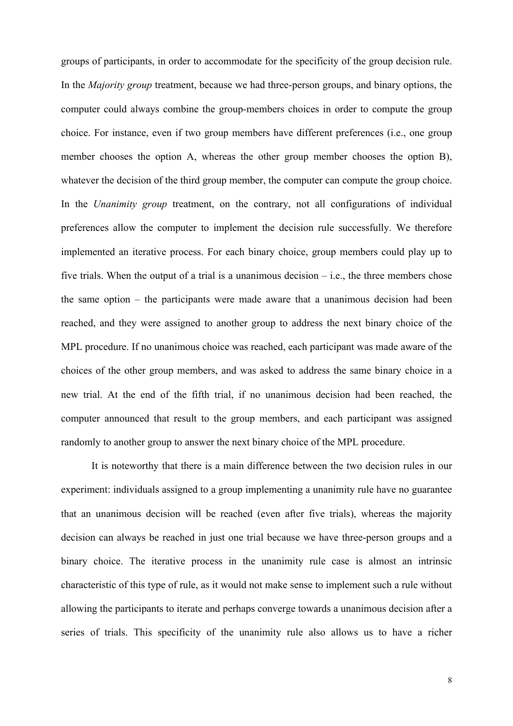groups of participants, in order to accommodate for the specificity of the group decision rule. In the *Majority group* treatment, because we had three-person groups, and binary options, the computer could always combine the group-members choices in order to compute the group choice. For instance, even if two group members have different preferences (i.e., one group member chooses the option A, whereas the other group member chooses the option B). whatever the decision of the third group member, the computer can compute the group choice. In the *Unanimity group* treatment, on the contrary, not all configurations of individual preferences allow the computer to implement the decision rule successfully. We therefore implemented an iterative process. For each binary choice, group members could play up to five trials. When the output of a trial is a unanimous decision  $-$  i.e., the three members chose the same option – the participants were made aware that a unanimous decision had been reached, and they were assigned to another group to address the next binary choice of the MPL procedure. If no unanimous choice was reached, each participant was made aware of the choices of the other group members, and was asked to address the same binary choice in a new trial. At the end of the fifth trial, if no unanimous decision had been reached, the computer announced that result to the group members, and each participant was assigned randomly to another group to answer the next binary choice of the MPL procedure.

It is noteworthy that there is a main difference between the two decision rules in our experiment: individuals assigned to a group implementing a unanimity rule have no guarantee that an unanimous decision will be reached (even after five trials), whereas the majority decision can always be reached in just one trial because we have three-person groups and a binary choice. The iterative process in the unanimity rule case is almost an intrinsic characteristic of this type of rule, as it would not make sense to implement such a rule without allowing the participants to iterate and perhaps converge towards a unanimous decision after a series of trials. This specificity of the unanimity rule also allows us to have a richer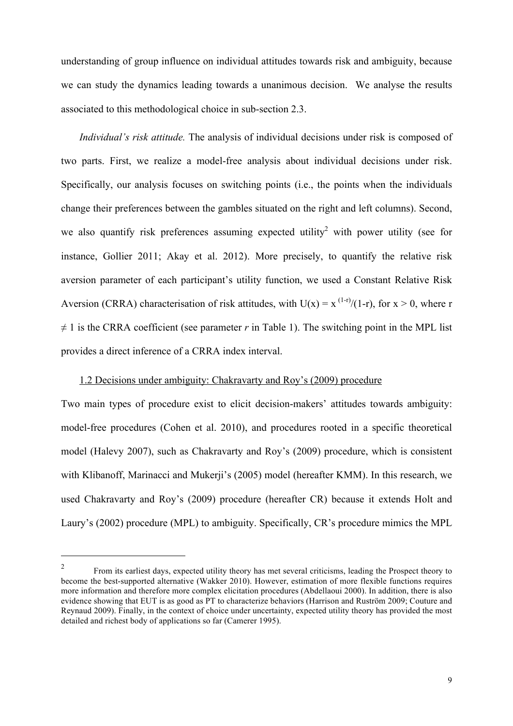understanding of group influence on individual attitudes towards risk and ambiguity, because we can study the dynamics leading towards a unanimous decision. We analyse the results associated to this methodological choice in sub-section 2.3.

*Individual's risk attitude.* The analysis of individual decisions under risk is composed of two parts. First, we realize a model-free analysis about individual decisions under risk. Specifically, our analysis focuses on switching points (i.e., the points when the individuals change their preferences between the gambles situated on the right and left columns). Second, we also quantify risk preferences assuming expected utility<sup>2</sup> with power utility (see for instance, Gollier 2011; Akay et al. 2012). More precisely, to quantify the relative risk aversion parameter of each participant's utility function, we used a Constant Relative Risk Aversion (CRRA) characterisation of risk attitudes, with  $U(x) = x^{(1-r)/(1-r)}$ , for  $x > 0$ , where r  $\neq$  1 is the CRRA coefficient (see parameter *r* in Table 1). The switching point in the MPL list provides a direct inference of a CRRA index interval.

#### 1.2 Decisions under ambiguity: Chakravarty and Roy's (2009) procedure

Two main types of procedure exist to elicit decision-makers' attitudes towards ambiguity: model-free procedures (Cohen et al. 2010), and procedures rooted in a specific theoretical model (Halevy 2007), such as Chakravarty and Roy's (2009) procedure, which is consistent with Klibanoff, Marinacci and Mukerji's (2005) model (hereafter KMM). In this research, we used Chakravarty and Roy's (2009) procedure (hereafter CR) because it extends Holt and Laury's (2002) procedure (MPL) to ambiguity. Specifically, CR's procedure mimics the MPL

l

<sup>&</sup>lt;sup>2</sup> From its earliest days, expected utility theory has met several criticisms, leading the Prospect theory to become the best-supported alternative (Wakker 2010). However, estimation of more flexible functions requires more information and therefore more complex elicitation procedures (Abdellaoui 2000). In addition, there is also evidence showing that EUT is as good as PT to characterize behaviors (Harrison and Ruström 2009; Couture and Reynaud 2009). Finally, in the context of choice under uncertainty, expected utility theory has provided the most detailed and richest body of applications so far (Camerer 1995).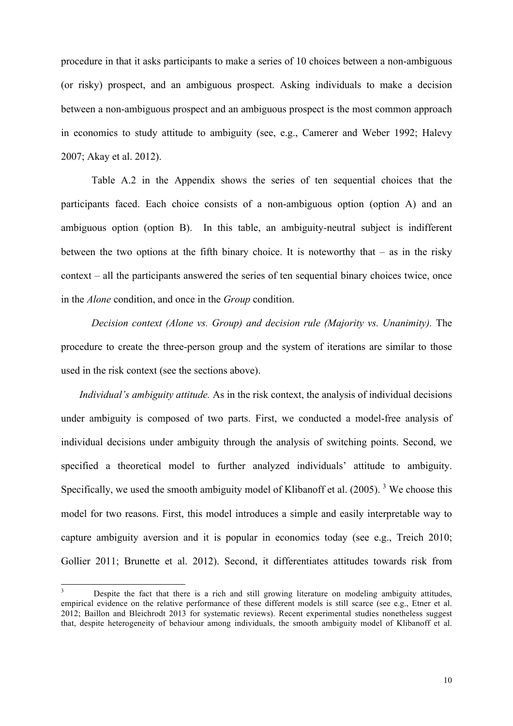procedure in that it asks participants to make a series of 10 choices between a non-ambiguous (or risky) prospect, and an ambiguous prospect. Asking individuals to make a decision between a non-ambiguous prospect and an ambiguous prospect is the most common approach in economics to study attitude to ambiguity (see, e.g., Camerer and Weber 1992; Halevy 2007; Akay et al. 2012).

Table A.2 in the Appendix shows the series of ten sequential choices that the participants faced. Each choice consists of a non-ambiguous option (option A) and an ambiguous option (option B). In this table, an ambiguity-neutral subject is indifferent between the two options at the fifth binary choice. It is noteworthy that – as in the risky context – all the participants answered the series of ten sequential binary choices twice, once in the *Alone* condition, and once in the *Group* condition.

*Decision context (Alone vs. Group) and decision rule (Majority vs. Unanimity).* The procedure to create the three-person group and the system of iterations are similar to those used in the risk context (see the sections above).

*Individual's ambiguity attitude.* As in the risk context, the analysis of individual decisions under ambiguity is composed of two parts. First, we conducted a model-free analysis of individual decisions under ambiguity through the analysis of switching points. Second, we specified a theoretical model to further analyzed individuals' attitude to ambiguity. Specifically, we used the smooth ambiguity model of Klibanoff et al.  $(2005)$ . <sup>3</sup> We choose this model for two reasons. First, this model introduces a simple and easily interpretable way to capture ambiguity aversion and it is popular in economics today (see e.g., Treich 2010; Gollier 2011; Brunette et al. 2012). Second, it differentiates attitudes towards risk from

Despite the fact that there is a rich and still growing literature on modeling ambiguity attitudes, empirical evidence on the relative performance of these different models is still scarce (see e.g., Etner et al. 2012; Baillon and Bleichrodt 2013 for systematic reviews). Recent experimental studies nonetheless suggest that, despite heterogeneity of behaviour among individuals, the smooth ambiguity model of Klibanoff et al.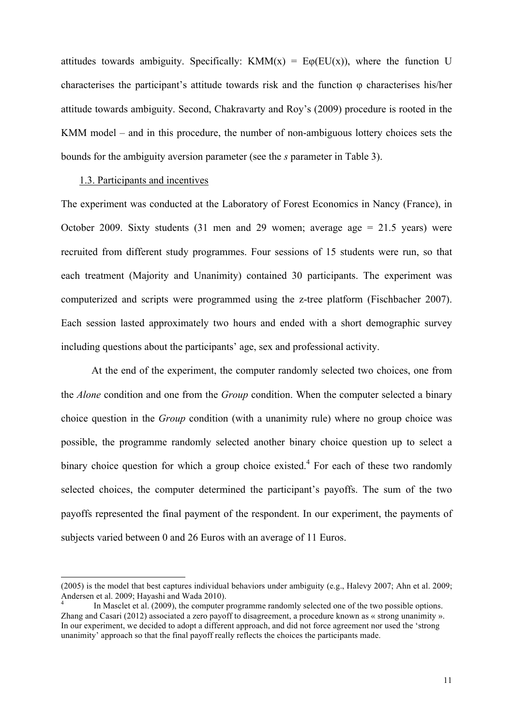attitudes towards ambiguity. Specifically: KMM(x) =  $E\varphi(EU(x))$ , where the function U characterises the participant's attitude towards risk and the function φ characterises his/her attitude towards ambiguity. Second, Chakravarty and Roy's (2009) procedure is rooted in the KMM model – and in this procedure, the number of non-ambiguous lottery choices sets the bounds for the ambiguity aversion parameter (see the *s* parameter in Table 3).

#### 1.3. Participants and incentives

l

The experiment was conducted at the Laboratory of Forest Economics in Nancy (France), in October 2009. Sixty students (31 men and 29 women; average age = 21.5 years) were recruited from different study programmes. Four sessions of 15 students were run, so that each treatment (Majority and Unanimity) contained 30 participants. The experiment was computerized and scripts were programmed using the z-tree platform (Fischbacher 2007). Each session lasted approximately two hours and ended with a short demographic survey including questions about the participants' age, sex and professional activity.

At the end of the experiment, the computer randomly selected two choices, one from the *Alone* condition and one from the *Group* condition. When the computer selected a binary choice question in the *Group* condition (with a unanimity rule) where no group choice was possible, the programme randomly selected another binary choice question up to select a binary choice question for which a group choice existed.<sup>4</sup> For each of these two randomly selected choices, the computer determined the participant's payoffs. The sum of the two payoffs represented the final payment of the respondent. In our experiment, the payments of subjects varied between 0 and 26 Euros with an average of 11 Euros.

<sup>(2005)</sup> is the model that best captures individual behaviors under ambiguity (e.g., Halevy 2007; Ahn et al. 2009; Andersen et al. 2009; Hayashi and Wada 2010).<br><sup>4</sup> In Masclet et al. (2009), the computer programme randomly selected one of the two possible options.

Zhang and Casari (2012) associated a zero payoff to disagreement, a procedure known as « strong unanimity ». In our experiment, we decided to adopt a different approach, and did not force agreement nor used the 'strong unanimity' approach so that the final payoff really reflects the choices the participants made.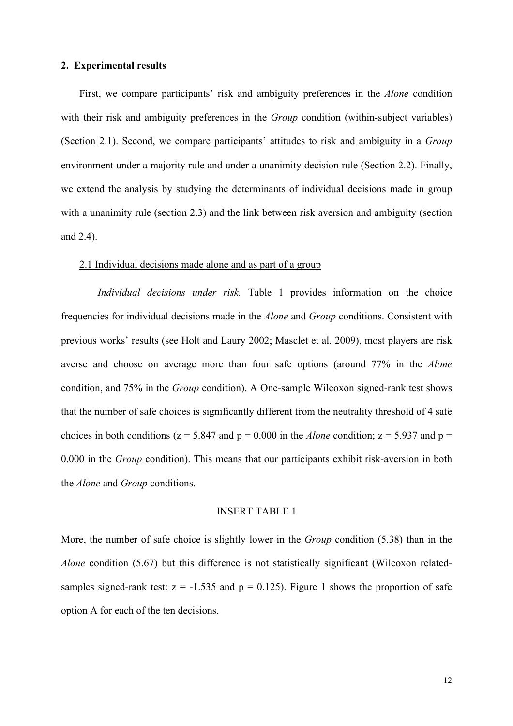#### **2. Experimental results**

First, we compare participants' risk and ambiguity preferences in the *Alone* condition with their risk and ambiguity preferences in the *Group* condition (within-subject variables) (Section 2.1). Second, we compare participants' attitudes to risk and ambiguity in a *Group* environment under a majority rule and under a unanimity decision rule (Section 2.2). Finally, we extend the analysis by studying the determinants of individual decisions made in group with a unanimity rule (section 2.3) and the link between risk aversion and ambiguity (section and 2.4).

#### 2.1 Individual decisions made alone and as part of a group

*Individual decisions under risk.* Table 1 provides information on the choice frequencies for individual decisions made in the *Alone* and *Group* conditions. Consistent with previous works' results (see Holt and Laury 2002; Masclet et al. 2009), most players are risk averse and choose on average more than four safe options (around 77% in the *Alone*  condition, and 75% in the *Group* condition). A One-sample Wilcoxon signed-rank test shows that the number of safe choices is significantly different from the neutrality threshold of 4 safe choices in both conditions ( $z = 5.847$  and  $p = 0.000$  in the *Alone* condition;  $z = 5.937$  and  $p = 0.000$ 0.000 in the *Group* condition). This means that our participants exhibit risk-aversion in both the *Alone* and *Group* conditions.

#### INSERT TABLE 1

More, the number of safe choice is slightly lower in the *Group* condition (5.38) than in the *Alone* condition (5.67) but this difference is not statistically significant (Wilcoxon relatedsamples signed-rank test:  $z = -1.535$  and  $p = 0.125$ ). Figure 1 shows the proportion of safe option A for each of the ten decisions.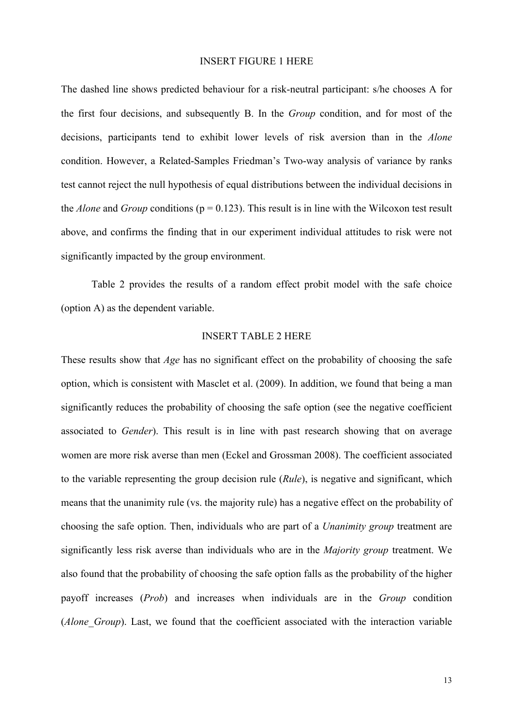#### INSERT FIGURE 1 HERE

The dashed line shows predicted behaviour for a risk-neutral participant: s/he chooses A for the first four decisions, and subsequently B. In the *Group* condition, and for most of the decisions, participants tend to exhibit lower levels of risk aversion than in the *Alone* condition. However, a Related-Samples Friedman's Two-way analysis of variance by ranks test cannot reject the null hypothesis of equal distributions between the individual decisions in the *Alone* and *Group* conditions ( $p = 0.123$ ). This result is in line with the Wilcoxon test result above, and confirms the finding that in our experiment individual attitudes to risk were not significantly impacted by the group environment.

Table 2 provides the results of a random effect probit model with the safe choice (option A) as the dependent variable.

#### INSERT TABLE 2 HERE

These results show that *Age* has no significant effect on the probability of choosing the safe option, which is consistent with Masclet et al. (2009). In addition, we found that being a man significantly reduces the probability of choosing the safe option (see the negative coefficient associated to *Gender*). This result is in line with past research showing that on average women are more risk averse than men (Eckel and Grossman 2008). The coefficient associated to the variable representing the group decision rule (*Rule*), is negative and significant, which means that the unanimity rule (vs. the majority rule) has a negative effect on the probability of choosing the safe option. Then, individuals who are part of a *Unanimity group* treatment are significantly less risk averse than individuals who are in the *Majority group* treatment. We also found that the probability of choosing the safe option falls as the probability of the higher payoff increases (*Prob*) and increases when individuals are in the *Group* condition (*Alone Group*). Last, we found that the coefficient associated with the interaction variable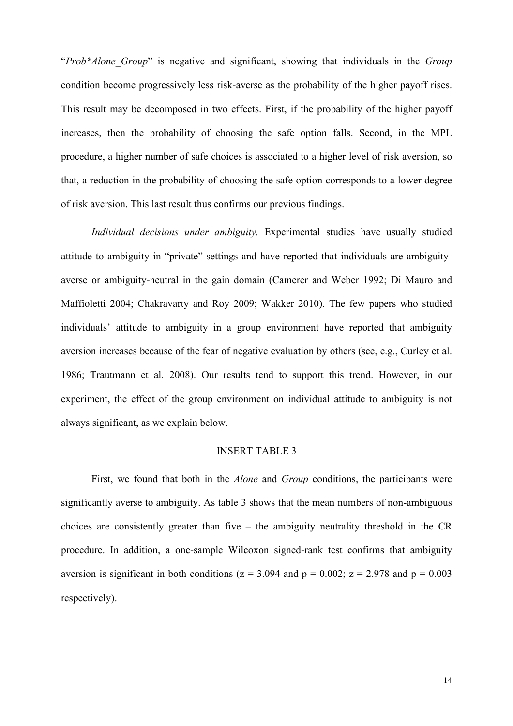"*Prob\*Alone\_Group*" is negative and significant, showing that individuals in the *Group* condition become progressively less risk-averse as the probability of the higher payoff rises. This result may be decomposed in two effects. First, if the probability of the higher payoff increases, then the probability of choosing the safe option falls. Second, in the MPL procedure, a higher number of safe choices is associated to a higher level of risk aversion, so that, a reduction in the probability of choosing the safe option corresponds to a lower degree of risk aversion. This last result thus confirms our previous findings.

*Individual decisions under ambiguity.* Experimental studies have usually studied attitude to ambiguity in "private" settings and have reported that individuals are ambiguityaverse or ambiguity-neutral in the gain domain (Camerer and Weber 1992; Di Mauro and Maffioletti 2004; Chakravarty and Roy 2009; Wakker 2010). The few papers who studied individuals' attitude to ambiguity in a group environment have reported that ambiguity aversion increases because of the fear of negative evaluation by others (see, e.g., Curley et al. 1986; Trautmann et al. 2008). Our results tend to support this trend. However, in our experiment, the effect of the group environment on individual attitude to ambiguity is not always significant, as we explain below.

#### INSERT TABLE 3

First, we found that both in the *Alone* and *Group* conditions, the participants were significantly averse to ambiguity. As table 3 shows that the mean numbers of non-ambiguous choices are consistently greater than five – the ambiguity neutrality threshold in the CR procedure. In addition, a one-sample Wilcoxon signed-rank test confirms that ambiguity aversion is significant in both conditions ( $z = 3.094$  and  $p = 0.002$ ;  $z = 2.978$  and  $p = 0.003$ respectively).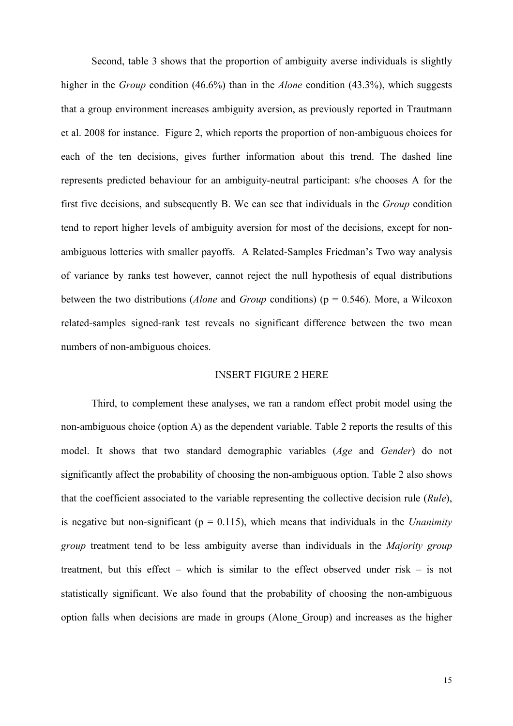Second, table 3 shows that the proportion of ambiguity averse individuals is slightly higher in the *Group* condition (46.6%) than in the *Alone* condition (43.3%), which suggests that a group environment increases ambiguity aversion, as previously reported in Trautmann et al. 2008 for instance. Figure 2, which reports the proportion of non-ambiguous choices for each of the ten decisions, gives further information about this trend. The dashed line represents predicted behaviour for an ambiguity-neutral participant: s/he chooses A for the first five decisions, and subsequently B. We can see that individuals in the *Group* condition tend to report higher levels of ambiguity aversion for most of the decisions, except for nonambiguous lotteries with smaller payoffs. A Related-Samples Friedman's Two way analysis of variance by ranks test however, cannot reject the null hypothesis of equal distributions between the two distributions (*Alone* and *Group* conditions) (p = 0.546). More, a Wilcoxon related-samples signed-rank test reveals no significant difference between the two mean numbers of non-ambiguous choices.

#### INSERT FIGURE 2 HERE

Third, to complement these analyses, we ran a random effect probit model using the non-ambiguous choice (option A) as the dependent variable. Table 2 reports the results of this model. It shows that two standard demographic variables (*Age* and *Gender*) do not significantly affect the probability of choosing the non-ambiguous option. Table 2 also shows that the coefficient associated to the variable representing the collective decision rule (*Rule*), is negative but non-significant ( $p = 0.115$ ), which means that individuals in the *Unanimity group* treatment tend to be less ambiguity averse than individuals in the *Majority group* treatment, but this effect – which is similar to the effect observed under risk – is not statistically significant. We also found that the probability of choosing the non-ambiguous option falls when decisions are made in groups (Alone\_Group) and increases as the higher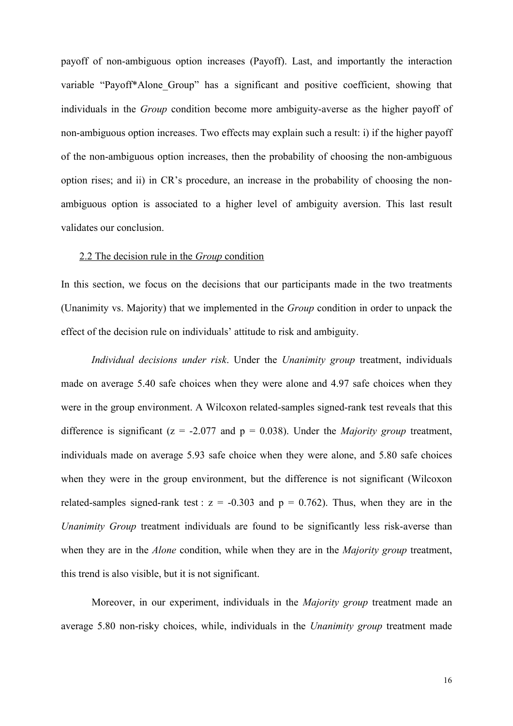payoff of non-ambiguous option increases (Payoff). Last, and importantly the interaction variable "Payoff\*Alone Group" has a significant and positive coefficient, showing that individuals in the *Group* condition become more ambiguity-averse as the higher payoff of non-ambiguous option increases. Two effects may explain such a result: i) if the higher payoff of the non-ambiguous option increases, then the probability of choosing the non-ambiguous option rises; and ii) in CR's procedure, an increase in the probability of choosing the nonambiguous option is associated to a higher level of ambiguity aversion. This last result validates our conclusion.

#### 2.2 The decision rule in the *Group* condition

In this section, we focus on the decisions that our participants made in the two treatments (Unanimity vs. Majority) that we implemented in the *Group* condition in order to unpack the effect of the decision rule on individuals' attitude to risk and ambiguity.

*Individual decisions under risk*. Under the *Unanimity group* treatment, individuals made on average 5.40 safe choices when they were alone and 4.97 safe choices when they were in the group environment. A Wilcoxon related-samples signed-rank test reveals that this difference is significant  $(z = -2.077$  and  $p = 0.038$ ). Under the *Majority group* treatment, individuals made on average 5.93 safe choice when they were alone, and 5.80 safe choices when they were in the group environment, but the difference is not significant (Wilcoxon related-samples signed-rank test :  $z = -0.303$  and  $p = 0.762$ ). Thus, when they are in the *Unanimity Group* treatment individuals are found to be significantly less risk-averse than when they are in the *Alone* condition, while when they are in the *Majority group* treatment, this trend is also visible, but it is not significant.

Moreover, in our experiment, individuals in the *Majority group* treatment made an average 5.80 non-risky choices, while, individuals in the *Unanimity group* treatment made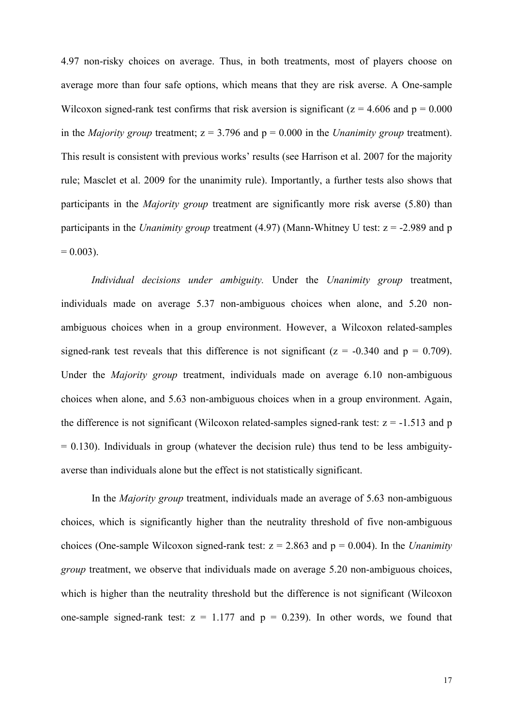4.97 non-risky choices on average. Thus, in both treatments, most of players choose on average more than four safe options, which means that they are risk averse. A One-sample Wilcoxon signed-rank test confirms that risk aversion is significant ( $z = 4.606$  and  $p = 0.000$ ) in the *Majority group* treatment;  $z = 3.796$  and  $p = 0.000$  in the *Unanimity group* treatment). This result is consistent with previous works' results (see Harrison et al. 2007 for the majority rule; Masclet et al. 2009 for the unanimity rule). Importantly, a further tests also shows that participants in the *Majority group* treatment are significantly more risk averse (5.80) than participants in the *Unanimity group* treatment (4.97) (Mann-Whitney U test:  $z = -2.989$  and p  $= 0.003$ ).

*Individual decisions under ambiguity.* Under the *Unanimity group* treatment, individuals made on average 5.37 non-ambiguous choices when alone, and 5.20 nonambiguous choices when in a group environment. However, a Wilcoxon related-samples signed-rank test reveals that this difference is not significant ( $z = -0.340$  and  $p = 0.709$ ). Under the *Majority group* treatment, individuals made on average 6.10 non-ambiguous choices when alone, and 5.63 non-ambiguous choices when in a group environment. Again, the difference is not significant (Wilcoxon related-samples signed-rank test:  $z = -1.513$  and p  $= 0.130$ ). Individuals in group (whatever the decision rule) thus tend to be less ambiguityaverse than individuals alone but the effect is not statistically significant.

In the *Majority group* treatment, individuals made an average of 5.63 non-ambiguous choices, which is significantly higher than the neutrality threshold of five non-ambiguous choices (One-sample Wilcoxon signed-rank test:  $z = 2.863$  and  $p = 0.004$ ). In the *Unanimity group* treatment, we observe that individuals made on average 5.20 non-ambiguous choices, which is higher than the neutrality threshold but the difference is not significant (Wilcoxon one-sample signed-rank test:  $z = 1.177$  and  $p = 0.239$ ). In other words, we found that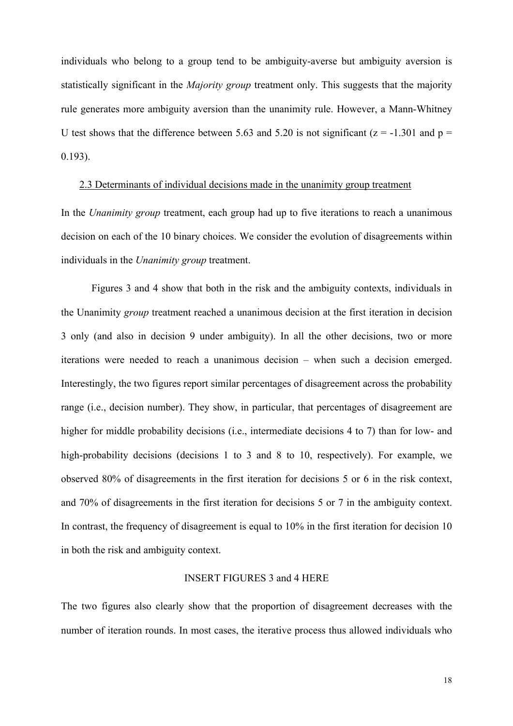individuals who belong to a group tend to be ambiguity-averse but ambiguity aversion is statistically significant in the *Majority group* treatment only. This suggests that the majority rule generates more ambiguity aversion than the unanimity rule. However, a Mann-Whitney U test shows that the difference between 5.63 and 5.20 is not significant  $(z = -1.301$  and  $p =$ 0.193).

#### 2.3 Determinants of individual decisions made in the unanimity group treatment

In the *Unanimity group* treatment, each group had up to five iterations to reach a unanimous decision on each of the 10 binary choices. We consider the evolution of disagreements within individuals in the *Unanimity group* treatment.

Figures 3 and 4 show that both in the risk and the ambiguity contexts, individuals in the Unanimity *group* treatment reached a unanimous decision at the first iteration in decision 3 only (and also in decision 9 under ambiguity). In all the other decisions, two or more iterations were needed to reach a unanimous decision – when such a decision emerged. Interestingly, the two figures report similar percentages of disagreement across the probability range (i.e., decision number). They show, in particular, that percentages of disagreement are higher for middle probability decisions (i.e., intermediate decisions 4 to 7) than for low- and high-probability decisions (decisions 1 to 3 and 8 to 10, respectively). For example, we observed 80% of disagreements in the first iteration for decisions 5 or 6 in the risk context, and 70% of disagreements in the first iteration for decisions 5 or 7 in the ambiguity context. In contrast, the frequency of disagreement is equal to 10% in the first iteration for decision 10 in both the risk and ambiguity context.

#### INSERT FIGURES 3 and 4 HERE

The two figures also clearly show that the proportion of disagreement decreases with the number of iteration rounds. In most cases, the iterative process thus allowed individuals who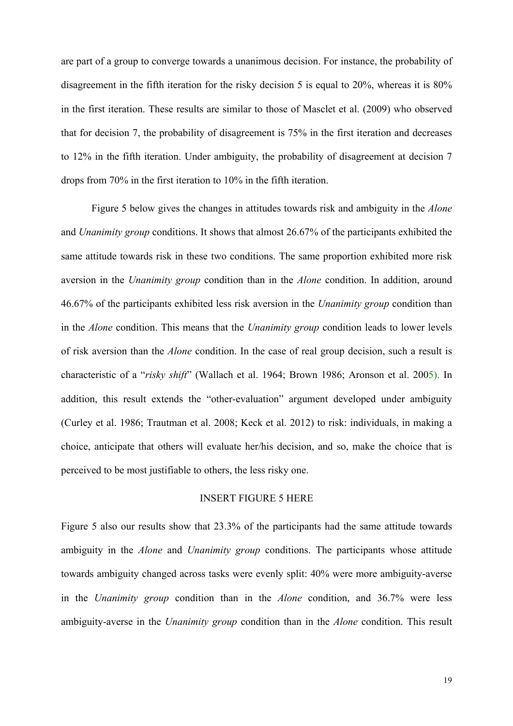are part of a group to converge towards a unanimous decision. For instance, the probability of disagreement in the fifth iteration for the risky decision 5 is equal to 20%, whereas it is 80% in the first iteration. These results are similar to those of Masclet et al. (2009) who observed that for decision 7, the probability of disagreement is 75% in the first iteration and decreases to 12% in the fifth iteration. Under ambiguity, the probability of disagreement at decision 7 drops from 70% in the first iteration to 10% in the fifth iteration.

Figure 5 below gives the changes in attitudes towards risk and ambiguity in the *Alone* and *Unanimity group* conditions. It shows that almost 26.67% of the participants exhibited the same attitude towards risk in these two conditions. The same proportion exhibited more risk aversion in the *Unanimity group* condition than in the *Alone* condition. In addition, around 46.67% of the participants exhibited less risk aversion in the *Unanimity group* condition than in the *Alone* condition. This means that the *Unanimity group* condition leads to lower levels of risk aversion than the *Alone* condition. In the case of real group decision, such a result is characteristic of a "*risky shift*" (Wallach et al. 1964; Brown 1986; Aronson et al. 2005). In addition, this result extends the "other-evaluation" argument developed under ambiguity (Curley et al. 1986; Trautman et al. 2008; Keck et al. 2012) to risk: individuals, in making a choice, anticipate that others will evaluate her/his decision, and so, make the choice that is perceived to be most justifiable to others, the less risky one.

#### INSERT FIGURE 5 HERE

Figure 5 also our results show that 23.3% of the participants had the same attitude towards ambiguity in the *Alone* and *Unanimity group* conditions. The participants whose attitude towards ambiguity changed across tasks were evenly split: 40% were more ambiguity-averse in the *Unanimity group* condition than in the *Alone* condition, and 36.7% were less ambiguity-averse in the *Unanimity group* condition than in the *Alone* condition. This result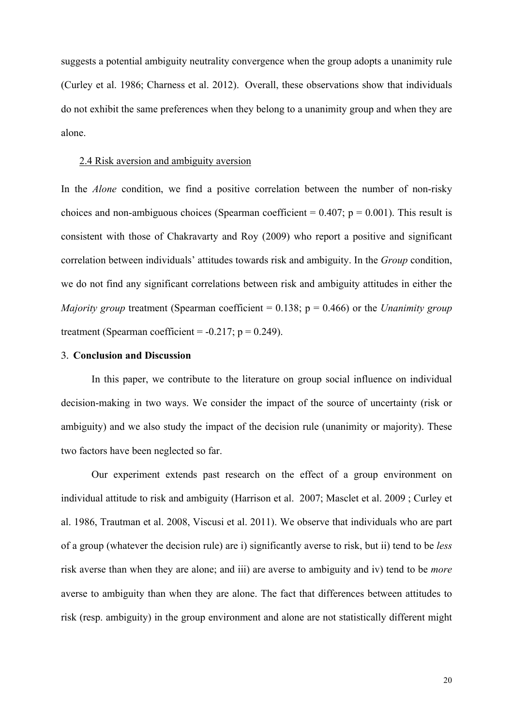suggests a potential ambiguity neutrality convergence when the group adopts a unanimity rule (Curley et al. 1986; Charness et al. 2012). Overall, these observations show that individuals do not exhibit the same preferences when they belong to a unanimity group and when they are alone.

#### 2.4 Risk aversion and ambiguity aversion

In the *Alone* condition, we find a positive correlation between the number of non-risky choices and non-ambiguous choices (Spearman coefficient =  $0.407$ ; p =  $0.001$ ). This result is consistent with those of Chakravarty and Roy (2009) who report a positive and significant correlation between individuals' attitudes towards risk and ambiguity. In the *Group* condition, we do not find any significant correlations between risk and ambiguity attitudes in either the *Majority group* treatment (Spearman coefficient = 0.138; p = 0.466) or the *Unanimity group* treatment (Spearman coefficient =  $-0.217$ ; p = 0.249).

#### 3. **Conclusion and Discussion**

In this paper, we contribute to the literature on group social influence on individual decision-making in two ways. We consider the impact of the source of uncertainty (risk or ambiguity) and we also study the impact of the decision rule (unanimity or majority). These two factors have been neglected so far.

Our experiment extends past research on the effect of a group environment on individual attitude to risk and ambiguity (Harrison et al. 2007; Masclet et al. 2009 ; Curley et al. 1986, Trautman et al. 2008, Viscusi et al. 2011). We observe that individuals who are part of a group (whatever the decision rule) are i) significantly averse to risk, but ii) tend to be *less* risk averse than when they are alone; and iii) are averse to ambiguity and iv) tend to be *more* averse to ambiguity than when they are alone. The fact that differences between attitudes to risk (resp. ambiguity) in the group environment and alone are not statistically different might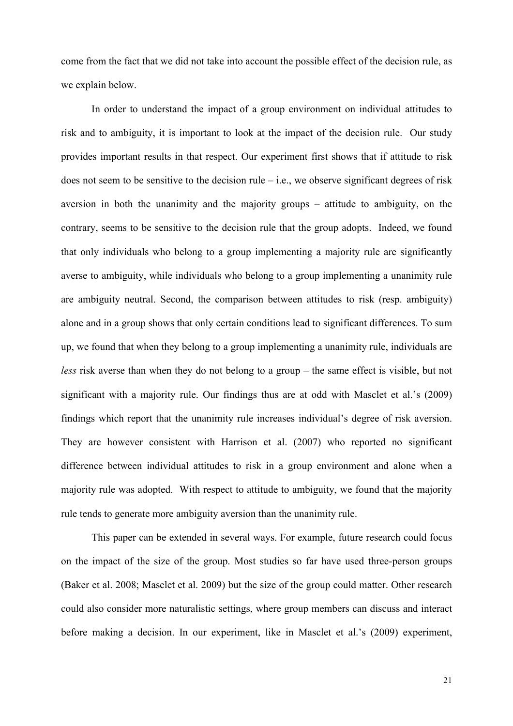come from the fact that we did not take into account the possible effect of the decision rule, as we explain below.

In order to understand the impact of a group environment on individual attitudes to risk and to ambiguity, it is important to look at the impact of the decision rule. Our study provides important results in that respect. Our experiment first shows that if attitude to risk does not seem to be sensitive to the decision rule  $-$  i.e., we observe significant degrees of risk aversion in both the unanimity and the majority groups – attitude to ambiguity, on the contrary, seems to be sensitive to the decision rule that the group adopts. Indeed, we found that only individuals who belong to a group implementing a majority rule are significantly averse to ambiguity, while individuals who belong to a group implementing a unanimity rule are ambiguity neutral. Second, the comparison between attitudes to risk (resp. ambiguity) alone and in a group shows that only certain conditions lead to significant differences. To sum up, we found that when they belong to a group implementing a unanimity rule, individuals are *less* risk averse than when they do not belong to a group – the same effect is visible, but not significant with a majority rule. Our findings thus are at odd with Masclet et al.'s (2009) findings which report that the unanimity rule increases individual's degree of risk aversion. They are however consistent with Harrison et al. (2007) who reported no significant difference between individual attitudes to risk in a group environment and alone when a majority rule was adopted. With respect to attitude to ambiguity, we found that the majority rule tends to generate more ambiguity aversion than the unanimity rule.

This paper can be extended in several ways. For example, future research could focus on the impact of the size of the group. Most studies so far have used three-person groups (Baker et al. 2008; Masclet et al. 2009) but the size of the group could matter. Other research could also consider more naturalistic settings, where group members can discuss and interact before making a decision. In our experiment, like in Masclet et al.'s (2009) experiment,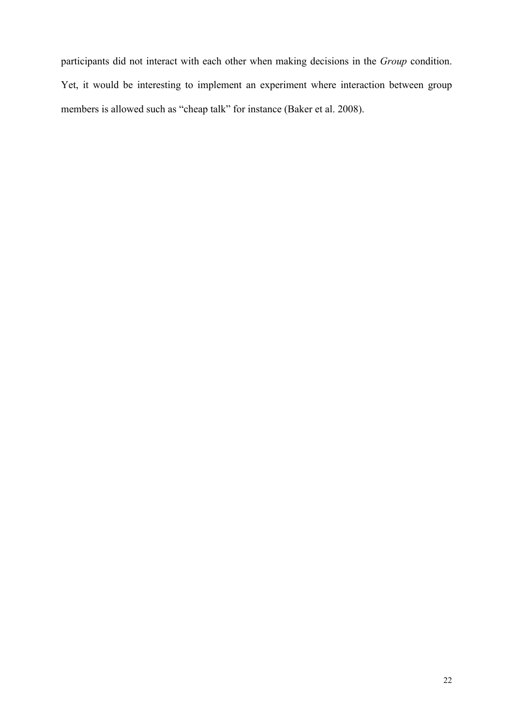participants did not interact with each other when making decisions in the *Group* condition. Yet, it would be interesting to implement an experiment where interaction between group members is allowed such as "cheap talk" for instance (Baker et al. 2008).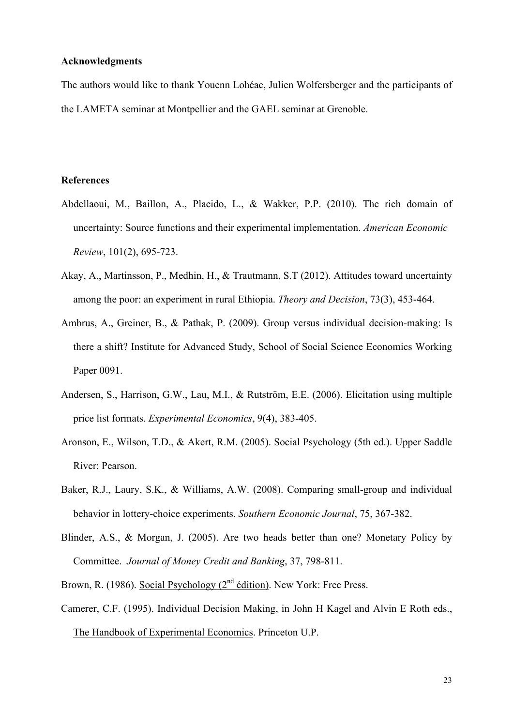#### **Acknowledgments**

The authors would like to thank Youenn Lohéac, Julien Wolfersberger and the participants of the LAMETA seminar at Montpellier and the GAEL seminar at Grenoble.

#### **References**

- Abdellaoui, M., Baillon, A., Placido, L., & Wakker, P.P. (2010). The rich domain of uncertainty: Source functions and their experimental implementation. *American Economic Review*, 101(2), 695-723.
- Akay, A., Martinsson, P., Medhin, H., & Trautmann, S.T (2012). Attitudes toward uncertainty among the poor: an experiment in rural Ethiopia. *Theory and Decision*, 73(3), 453-464.
- Ambrus, A., Greiner, B., & Pathak, P. (2009). Group versus individual decision-making: Is there a shift? Institute for Advanced Study, School of Social Science Economics Working Paper 0091.
- Andersen, S., Harrison, G.W., Lau, M.I., & Rutström, E.E. (2006). Elicitation using multiple price list formats. *Experimental Economics*, 9(4), 383-405.
- Aronson, E., Wilson, T.D., & Akert, R.M. (2005). Social Psychology (5th ed.). Upper Saddle River: Pearson.
- Baker, R.J., Laury, S.K., & Williams, A.W. (2008). Comparing small-group and individual behavior in lottery-choice experiments. *Southern Economic Journal*, 75, 367-382.
- Blinder, A.S., & Morgan, J. (2005). Are two heads better than one? Monetary Policy by Committee. *Journal of Money Credit and Banking*, 37, 798-811.
- Brown, R. (1986). Social Psychology ( $2<sup>nd</sup>$  édition). New York: Free Press.
- Camerer, C.F. (1995). Individual Decision Making, in John H Kagel and Alvin E Roth eds., The Handbook of Experimental Economics. Princeton U.P.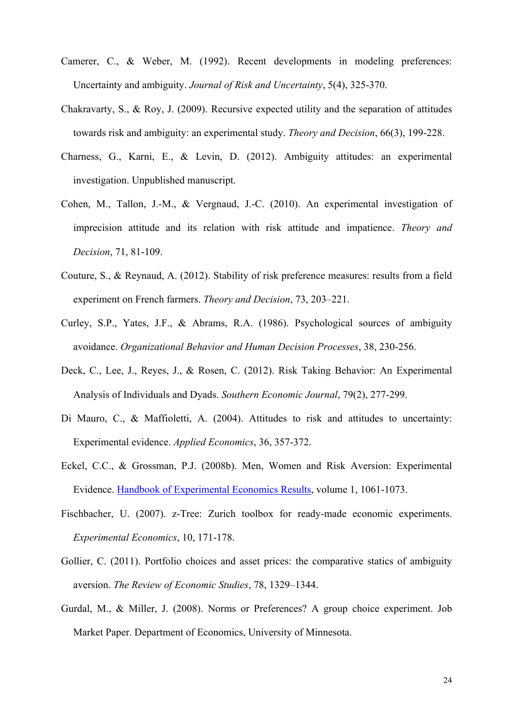- Camerer, C., & Weber, M. (1992). Recent developments in modeling preferences: Uncertainty and ambiguity. *Journal of Risk and Uncertainty*, 5(4), 325-370.
- Chakravarty, S., & Roy, J. (2009). Recursive expected utility and the separation of attitudes towards risk and ambiguity: an experimental study. *Theory and Decision*, 66(3), 199-228.
- Charness, G., Karni, E., & Levin, D. (2012). Ambiguity attitudes: an experimental investigation. Unpublished manuscript.
- Cohen, M., Tallon, J.-M., & Vergnaud, J.-C. (2010). An experimental investigation of imprecision attitude and its relation with risk attitude and impatience. *Theory and Decision*, 71, 81-109.
- Couture, S., & Reynaud, A. (2012). Stability of risk preference measures: results from a field experiment on French farmers. *Theory and Decision*, 73, 203–221.
- Curley, S.P., Yates, J.F., & Abrams, R.A. (1986). Psychological sources of ambiguity avoidance. *Organizational Behavior and Human Decision Processes*, 38, 230-256.
- Deck, C., Lee, J., Reyes, J., & Rosen, C. (2012). Risk Taking Behavior: An Experimental Analysis of Individuals and Dyads. *Southern Economic Journal*, 79(2), 277-299.
- Di Mauro, C., & Maffioletti, A. (2004). Attitudes to risk and attitudes to uncertainty: Experimental evidence. *Applied Economics*, 36, 357-372.
- Eckel, C.C., & Grossman, P.J. (2008b). Men, Women and Risk Aversion: Experimental Evidence. Handbook of Experimental Economics Results, volume 1, 1061-1073.
- Fischbacher, U. (2007). z-Tree: Zurich toolbox for ready-made economic experiments. *Experimental Economics*, 10, 171-178.
- Gollier, C. (2011). Portfolio choices and asset prices: the comparative statics of ambiguity aversion. *The Review of Economic Studies*, 78, 1329–1344.
- Gurdal, M., & Miller, J. (2008). Norms or Preferences? A group choice experiment. Job Market Paper. Department of Economics, University of Minnesota.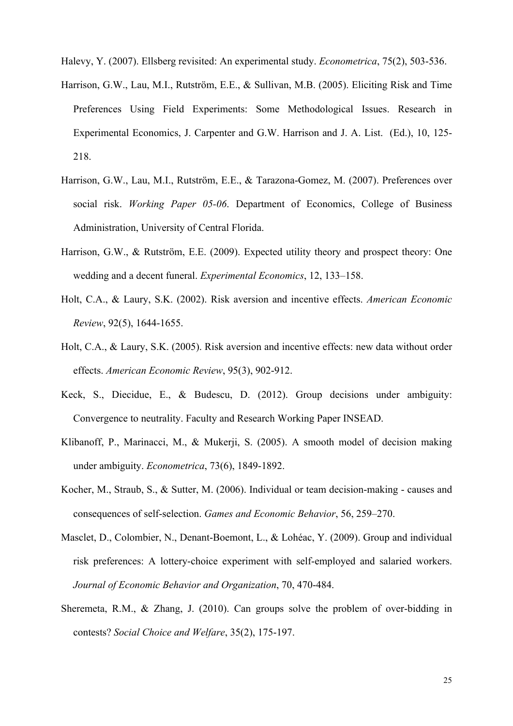Halevy, Y. (2007). Ellsberg revisited: An experimental study. *Econometrica*, 75(2), 503-536.

- Harrison, G.W., Lau, M.I., Rutström, E.E., & Sullivan, M.B. (2005). Eliciting Risk and Time Preferences Using Field Experiments: Some Methodological Issues. Research in Experimental Economics, J. Carpenter and G.W. Harrison and J. A. List. (Ed.), 10, 125- 218.
- Harrison, G.W., Lau, M.I., Rutström, E.E., & Tarazona-Gomez, M. (2007). Preferences over social risk. *Working Paper 05-06*. Department of Economics, College of Business Administration, University of Central Florida.
- Harrison, G.W., & Rutström, E.E. (2009). Expected utility theory and prospect theory: One wedding and a decent funeral. *Experimental Economics*, 12, 133–158.
- Holt, C.A., & Laury, S.K. (2002). Risk aversion and incentive effects. *American Economic Review*, 92(5), 1644-1655.
- Holt, C.A., & Laury, S.K. (2005). Risk aversion and incentive effects: new data without order effects. *American Economic Review*, 95(3), 902-912.
- Keck, S., Diecidue, E., & Budescu, D. (2012). Group decisions under ambiguity: Convergence to neutrality. Faculty and Research Working Paper INSEAD.
- Klibanoff, P., Marinacci, M., & Mukerji, S. (2005). A smooth model of decision making under ambiguity. *Econometrica*, 73(6), 1849-1892.
- Kocher, M., Straub, S., & Sutter, M. (2006). Individual or team decision-making causes and consequences of self-selection. *Games and Economic Behavior*, 56, 259–270.
- Masclet, D., Colombier, N., Denant-Boemont, L., & Lohéac, Y. (2009). Group and individual risk preferences: A lottery-choice experiment with self-employed and salaried workers. *Journal of Economic Behavior and Organization*, 70, 470-484.
- Sheremeta, R.M., & Zhang, J. (2010). Can groups solve the problem of over-bidding in contests? *Social Choice and Welfare*, 35(2), 175-197.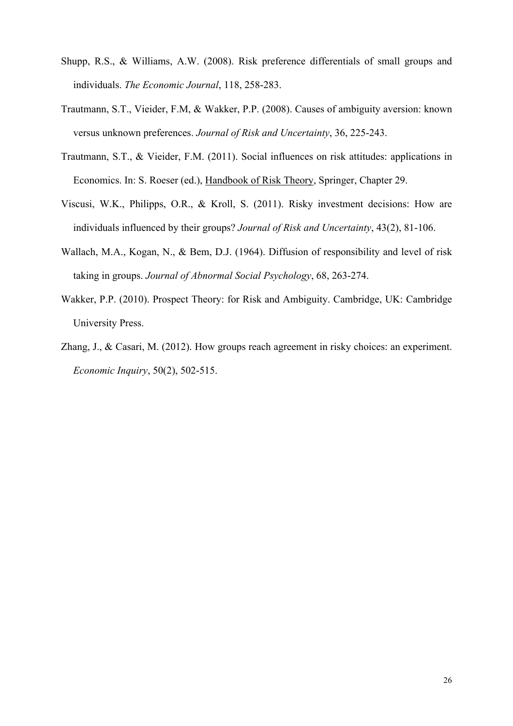- Shupp, R.S., & Williams, A.W. (2008). Risk preference differentials of small groups and individuals. *The Economic Journal*, 118, 258-283.
- Trautmann, S.T., Vieider, F.M, & Wakker, P.P. (2008). Causes of ambiguity aversion: known versus unknown preferences. *Journal of Risk and Uncertainty*, 36, 225-243.
- Trautmann, S.T., & Vieider, F.M. (2011). Social influences on risk attitudes: applications in Economics. In: S. Roeser (ed.), Handbook of Risk Theory, Springer, Chapter 29.
- Viscusi, W.K., Philipps, O.R., & Kroll, S. (2011). Risky investment decisions: How are individuals influenced by their groups? *Journal of Risk and Uncertainty*, 43(2), 81-106.
- Wallach, M.A., Kogan, N., & Bem, D.J. (1964). Diffusion of responsibility and level of risk taking in groups. *Journal of Abnormal Social Psychology*, 68, 263-274.
- Wakker, P.P. (2010). Prospect Theory: for Risk and Ambiguity. Cambridge, UK: Cambridge University Press.
- Zhang, J., & Casari, M. (2012). How groups reach agreement in risky choices: an experiment. *Economic Inquiry*, 50(2), 502-515.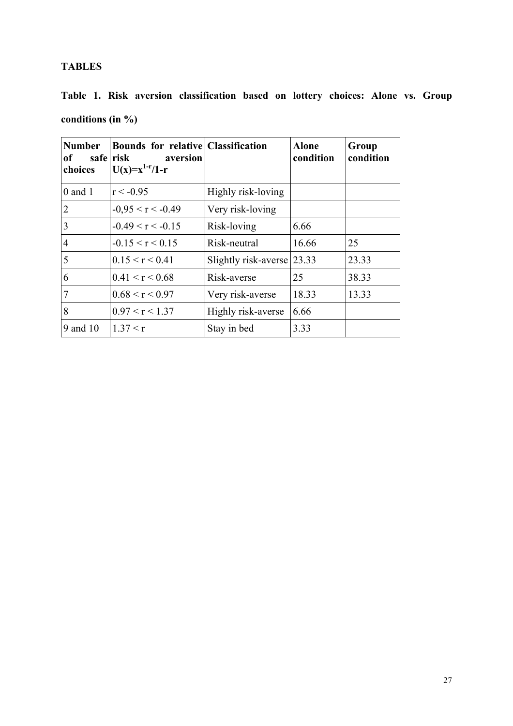## **TABLES**

**Table 1. Risk aversion classification based on lottery choices: Alone vs. Group conditions (in %)**

| <b>Number</b><br>оf<br>choices | <b>Bounds for relative Classification</b><br>safe risk<br>aversion<br>$U(x)=x^{1-r}/1-r$ |                               | <b>Alone</b><br>condition | Group<br>condition |
|--------------------------------|------------------------------------------------------------------------------------------|-------------------------------|---------------------------|--------------------|
| $0$ and $1$                    | $r < -0.95$                                                                              | Highly risk-loving            |                           |                    |
| $\overline{2}$                 | $-0.95 < r < -0.49$                                                                      | Very risk-loving              |                           |                    |
| 3                              | $-0.49 < r < -0.15$                                                                      | Risk-loving                   | 6.66                      |                    |
| $\overline{4}$                 | $-0.15 < r < 0.15$                                                                       | Risk-neutral                  | 16.66                     | 25                 |
| 5                              | 0.15 < r < 0.41                                                                          | Slightly risk-averse $ 23.33$ |                           | 23.33              |
| 6                              | 0.41 < r < 0.68                                                                          | Risk-averse                   | 25                        | 38.33              |
| 7                              | 0.68 < r < 0.97                                                                          | Very risk-averse              | 18.33                     | 13.33              |
| 8                              | 0.97 < r < 1.37                                                                          | Highly risk-averse            | 6.66                      |                    |
| 9 and 10                       | 1.37 < r                                                                                 | Stay in bed                   | 3.33                      |                    |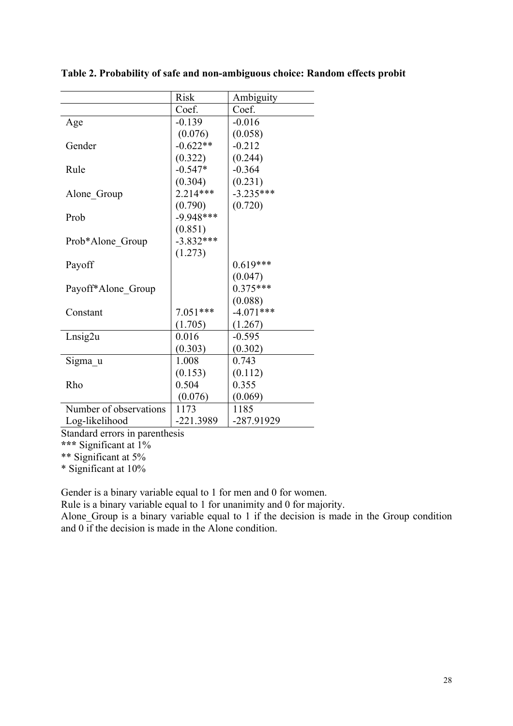|                        | <b>Risk</b> | Ambiguity   |
|------------------------|-------------|-------------|
|                        | Coef.       | Coef.       |
| Age                    | $-0.139$    | $-0.016$    |
|                        | (0.076)     | (0.058)     |
| Gender                 | $-0.622**$  | $-0.212$    |
|                        | (0.322)     | (0.244)     |
| Rule                   | $-0.547*$   | $-0.364$    |
|                        | (0.304)     | (0.231)     |
| Alone Group            | $2.214***$  | $-3.235***$ |
|                        | (0.790)     | (0.720)     |
| Prob                   | $-9.948***$ |             |
|                        | (0.851)     |             |
| Prob*Alone Group       | $-3.832***$ |             |
|                        | (1.273)     |             |
| Payoff                 |             | $0.619***$  |
|                        |             | (0.047)     |
| Payoff*Alone Group     |             | $0.375***$  |
|                        |             | (0.088)     |
| Constant               | $7.051***$  | $-4.071***$ |
|                        | (1.705)     | (1.267)     |
| Lnsig2u                | 0.016       | $-0.595$    |
|                        | (0.303)     | (0.302)     |
| Sigma u                | 1.008       | 0.743       |
|                        | (0.153)     | (0.112)     |
| Rho                    | 0.504       | 0.355       |
|                        | (0.076)     | (0.069)     |
| Number of observations | 1173        | 1185        |
| Log-likelihood         | -221.3989   | -287.91929  |

**Table 2. Probability of safe and non-ambiguous choice: Random effects probit** 

Standard errors in parenthesis

**\*\*\*** Significant at 1%

\*\* Significant at 5%

\* Significant at 10%

Gender is a binary variable equal to 1 for men and 0 for women.

Rule is a binary variable equal to 1 for unanimity and 0 for majority.

Alone Group is a binary variable equal to 1 if the decision is made in the Group condition and 0 if the decision is made in the Alone condition.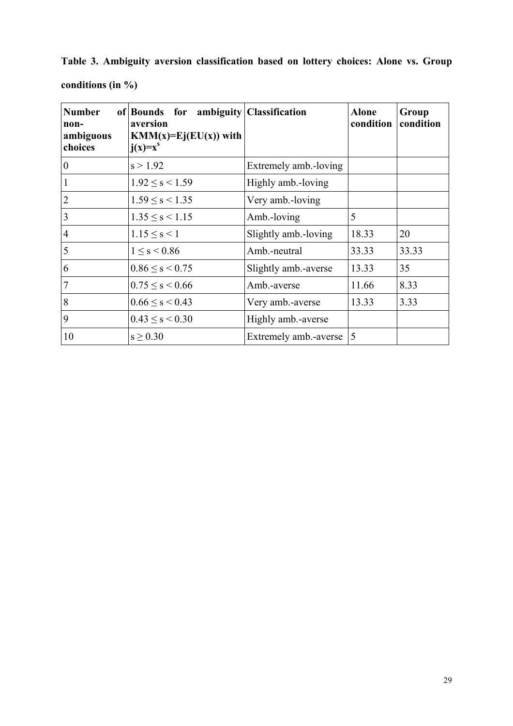**Table 3. Ambiguity aversion classification based on lottery choices: Alone vs. Group conditions (in %)**

| <b>Number</b><br>non-<br>ambiguous<br>choices | of Bounds for ambiguity Classification<br>aversion<br>$KMM(x)=Ej(EU(x))$ with<br>$j(x)=x^s$ |                       | <b>Alone</b><br>condition | Group<br>condition |
|-----------------------------------------------|---------------------------------------------------------------------------------------------|-----------------------|---------------------------|--------------------|
| $\boldsymbol{0}$                              | s > 1.92                                                                                    | Extremely amb.-loving |                           |                    |
| $\mathbf{1}$                                  | $1.92 \leq s \leq 1.59$                                                                     | Highly amb.-loving    |                           |                    |
| $\overline{2}$                                | $1.59 \leq s \leq 1.35$                                                                     | Very amb.-loving      |                           |                    |
| $\mathfrak{Z}$                                | $1.35 \leq s \leq 1.15$                                                                     | Amb.-loving           | 5                         |                    |
| $\overline{4}$                                | $1.15 \le s \le 1$                                                                          | Slightly amb.-loving  | 18.33                     | 20                 |
| 5                                             | $1 \leq s \leq 0.86$                                                                        | Amb.-neutral          | 33.33                     | 33.33              |
| 6                                             | $0.86 \leq s \leq 0.75$                                                                     | Slightly amb.-averse  | 13.33                     | 35                 |
| $\overline{7}$                                | $0.75 \leq s \leq 0.66$                                                                     | Amb.-averse           | 11.66                     | 8.33               |
| 8                                             | $0.66 \leq s \leq 0.43$                                                                     | Very amb.-averse      | 13.33                     | 3.33               |
| 9                                             | $0.43 \leq s \leq 0.30$                                                                     | Highly amb.-averse    |                           |                    |
| 10                                            | s > 0.30                                                                                    | Extremely amb.-averse | 5                         |                    |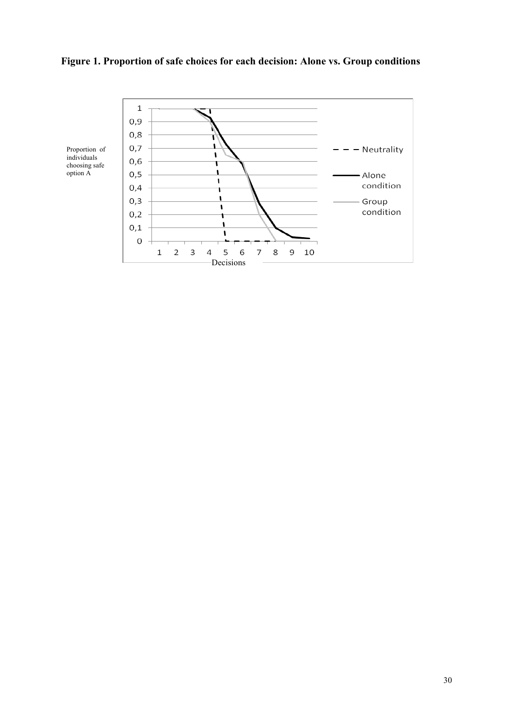

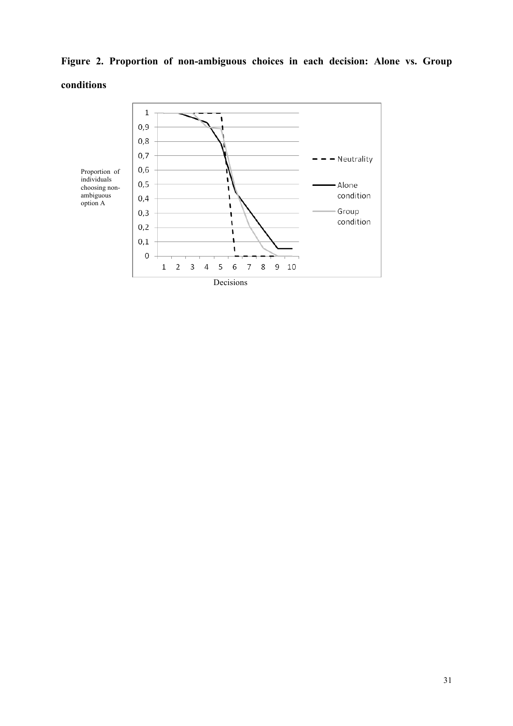**Figure 2. Proportion of non-ambiguous choices in each decision: Alone vs. Group conditions**

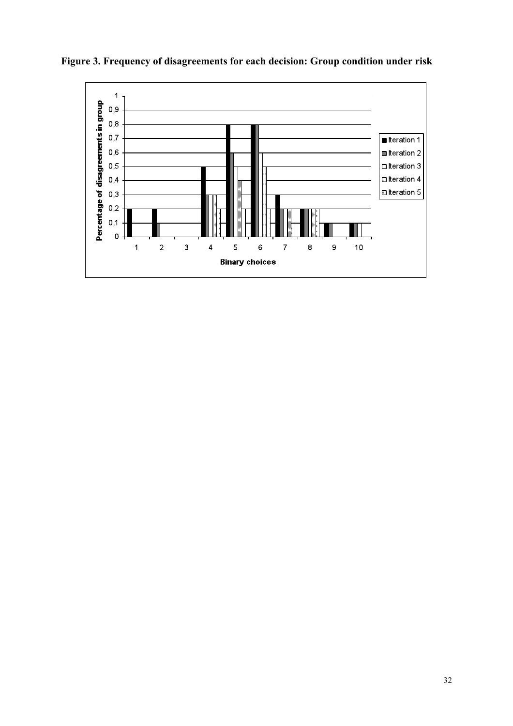

**Figure 3. Frequency of disagreements for each decision: Group condition under risk**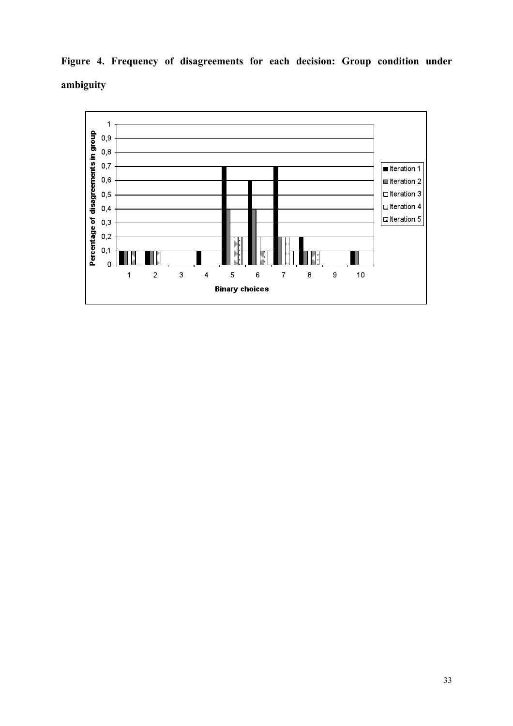

**Figure 4. Frequency of disagreements for each decision: Group condition under ambiguity**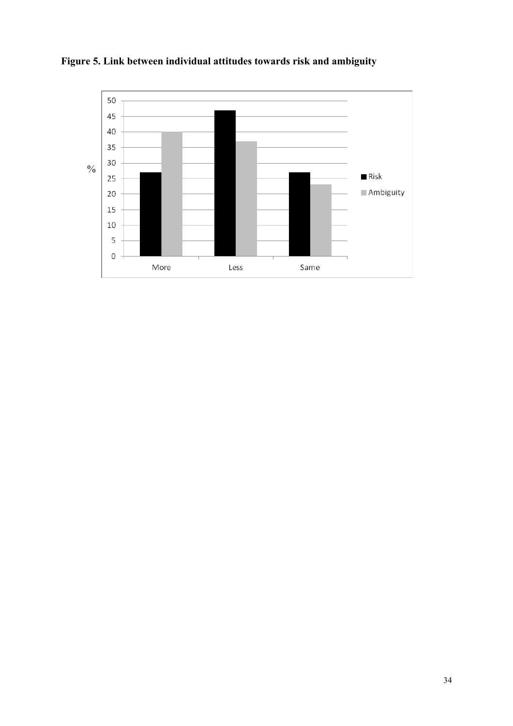

**Figure 5. Link between individual attitudes towards risk and ambiguity**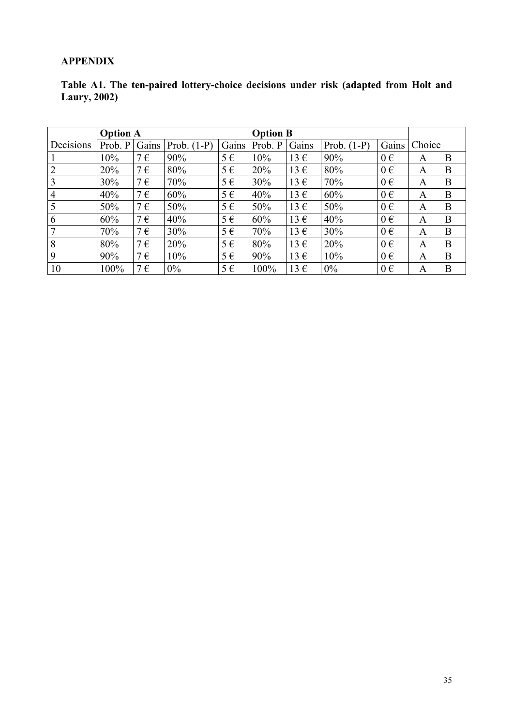## **APPENDIX**

|                | <b>Option A</b> |         |                | <b>Option B</b> |         |          |               |         |        |   |
|----------------|-----------------|---------|----------------|-----------------|---------|----------|---------------|---------|--------|---|
| Decisions      | Prob. P         | Gains   | $ Prob. (1-P)$ | Gains           | Prob. P | Gains    | Prob. $(1-P)$ | Gains   | Choice |   |
| $\mathbf{1}$   | 10%             | $7 \in$ | 90%            | $5 \in$         | 10%     | $13 \in$ | 90%           | $0 \in$ | A      | B |
| $\overline{2}$ | 20%             | $7 \in$ | 80%            | $5 \in$         | 20%     | $13 \in$ | 80%           | $0 \in$ | A      | B |
| $\overline{3}$ | 30%             | $7 \in$ | 70%            | $5 \in$         | 30%     | $13 \in$ | 70%           | $0 \in$ | A      | B |
| $\overline{4}$ | 40%             | $7 \in$ | 60%            | $5 \in$         | 40%     | $13 \in$ | 60%           | $0 \in$ | A      | B |
| 5              | 50%             | $7 \in$ | 50%            | $5 \in$         | 50%     | $13 \in$ | 50%           | $0 \in$ | A      | B |
| 6              | 60%             | $7 \in$ | 40%            | $5 \in$         | 60%     | $13 \in$ | 40%           | $0 \in$ | A      | B |
| $\overline{7}$ | 70%             | $7 \in$ | 30%            | $5 \in$         | 70%     | $13 \in$ | 30%           | $0 \in$ | A      | B |
| 8              | 80%             | $7 \in$ | 20%            | $5 \in$         | 80%     | $13 \in$ | 20%           | $0 \in$ | A      | B |
| 9              | 90%             | $7 \in$ | 10%            | $5 \in$         | 90%     | $13 \in$ | 10%           | $0 \in$ | A      | B |
| 10             | 100%            | $7 \in$ | 0%             | $5 \in$         | 100%    | $13 \in$ | $0\%$         | $0 \in$ | A      | B |

### **Table A1. The ten-paired lottery-choice decisions under risk (adapted from Holt and Laury, 2002)**